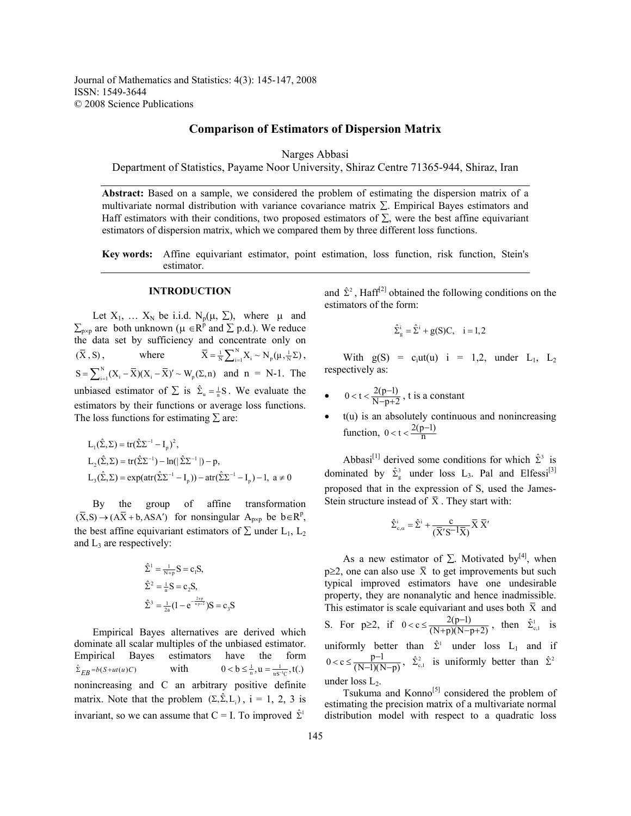# **Comparison of Estimators of Dispersion Matrix**

Narges Abbasi

Department of Statistics, Payame Noor University, Shiraz Centre 71365-944, Shiraz, Iran

**Abstract:** Based on a sample, we considered the problem of estimating the dispersion matrix of a multivariate normal distribution with variance covariance matrix ∑. Empirical Bayes estimators and Haff estimators with their conditions, two proposed estimators of  $\Sigma$ , were the best affine equivariant estimators of dispersion matrix, which we compared them by three different loss functions.

**Key words:** Affine equivariant estimator, point estimation, loss function, risk function, Stein's estimator.

#### **INTRODUCTION**

Let  $X_1$ , …  $X_N$  be i.i.d.  $N_p(\mu, \Sigma)$ , where  $\mu$  and  $\sum_{p \times p}$  are both unknown ( $\mu \in R^p$  and  $\Sigma$  p.d.). We reduce the data set by sufficiency and concentrate only on  $(\overline{X}, S)$ , where  $\overline{X} = \frac{1}{N} \sum_{i=1}^{N} X_i \sim N_p(\mu, \frac{1}{N} \Sigma)$ ,  $S = \sum_{i=1}^{N} (X_i - \overline{X})(X_i - \overline{X})' \sim W_p(\Sigma, n)$  and  $n = N-1$ . The unbiased estimator of  $\sum$  is  $\hat{\Sigma}_u = \frac{1}{n}S$ . We evaluate the estimators by their functions or average loss functions. The loss functions for estimating  $\Sigma$  are:

$$
L_1(\hat{\Sigma}, \Sigma) = tr(\hat{\Sigma} \Sigma^{-1} - I_p)^2,
$$
  
\n
$$
L_2(\hat{\Sigma}, \Sigma) = tr(\hat{\Sigma} \Sigma^{-1}) - ln(|\hat{\Sigma} \Sigma^{-1}|) - p,
$$
  
\n
$$
L_3(\hat{\Sigma}, \Sigma) = exp(atr(\hat{\Sigma} \Sigma^{-1} - I_p)) - atr(\hat{\Sigma} \Sigma^{-1} - I_p) - 1, \ a \neq 0
$$

 By the group of affine transformation  $(\overline{X}, S) \rightarrow (A\overline{X} + b, ASA')$  for nonsingular  $A_{p \times p}$  be  $b \in R^p$ , the best affine equivariant estimators of  $\Sigma$  under L<sub>1</sub>, L<sub>2</sub> and  $L_3$  are respectively:

$$
\hat{\Sigma}^{1} = \frac{1}{N+p} S = c_{1} S,
$$
  

$$
\hat{\Sigma}^{2} = \frac{1}{n} S = c_{2} S,
$$
  

$$
\hat{\Sigma}^{3} = \frac{1}{2a} (1 - e^{-\frac{2ap}{np+2}}) S = c_{3} S
$$

 Empirical Bayes alternatives are derived which dominate all scalar multiples of the unbiased estimator. Empirical Bayes estimators have the form  $\hat{\Sigma}_{EB} = b(S + ut(u)C)$  with  $0 < b \leq \frac{1}{n}, u = \frac{1}{us^{-1}C}, t(.)$ nonincreasing and C an arbitrary positive definite matrix. Note that the problem  $(\Sigma, \hat{\Sigma}, L_i)$ ,  $i = 1, 2, 3$  is invariant, so we can assume that  $C = I$ . To improved  $\hat{\Sigma}^1$ 

and  $\hat{\Sigma}^2$ , Haff<sup>[2]</sup> obtained the following conditions on the estimators of the form:

$$
\hat{\Sigma}_g^i = \hat{\Sigma}^i + g(S)C, \quad i = 1, 2
$$

With  $g(S) = c<sub>i</sub>ut(u)$  i = 1,2, under  $L_1$ ,  $L_2$ respectively as:

- $0 < t < \frac{2(p-1)}{N-p+2}$ , t is a constant
- $t(u)$  is an absolutely continuous and nonincreasing function,  $0 < t < \frac{2(p-1)}{n}$

Abbasi<sup>[1]</sup> derived some conditions for which  $\hat{\Sigma}^3$  is dominated by  $\hat{\Sigma}_{g}^{3}$  under loss L<sub>3</sub>. Pal and Elfessi<sup>[3]</sup> proposed that in the expression of S, used the James-Stein structure instead of  $\bar{X}$ . They start with:

$$
\hat{\Sigma}^i_{\mathrm{c},\alpha} = \hat{\Sigma}^i + \frac{c}{(\overline{X}' S^{-1} \overline{X})} \overline{X}\; \overline{X}'
$$

As a new estimator of  $\Sigma$ . Motivated by<sup>[4]</sup>, when p≥2, one can also use  $\bar{X}$  to get improvements but such typical improved estimators have one undesirable property, they are nonanalytic and hence inadmissible. This estimator is scale equivariant and uses both  $\bar{x}$  and S. For  $p \ge 2$ , if  $0 < c \le \frac{2(p-1)}{(N+p)(N-p+2)}$ , then  $\hat{\Sigma}_{c,1}^1$  is uniformly better than  $\hat{\Sigma}^1$  under loss L<sub>1</sub> and if  $0 < c \leq \frac{p-1}{(N-1)(N-p)}, \quad \hat{\Sigma}_{c,1}^2$  is uniformly better than  $\hat{\Sigma}^2$ under loss  $L_2$ .

Tsukuma and  $Konno^{[5]}$  considered the problem of estimating the precision matrix of a multivariate normal distribution model with respect to a quadratic loss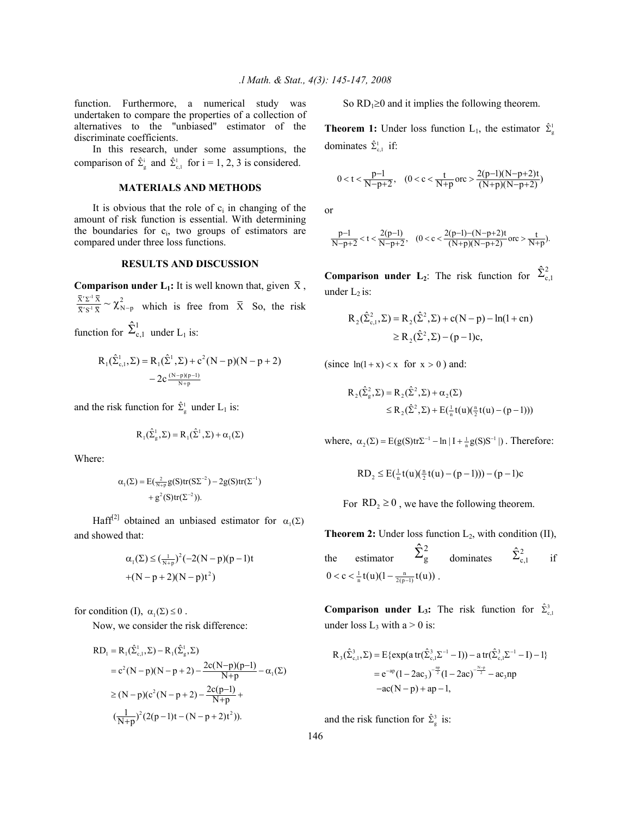function. Furthermore, a numerical study was undertaken to compare the properties of a collection of alternatives to the "unbiased" estimator of the discriminate coefficients.

 In this research, under some assumptions, the comparison of  $\hat{\Sigma}_{g}^{i}$  and  $\hat{\Sigma}_{g,1}^{1}$  for  $i = 1, 2, 3$  is considered.

# **MATERIALS AND METHODS**

It is obvious that the role of  $c_i$  in changing of the amount of risk function is essential. With determining the boundaries for  $c_i$ , two groups of estimators are compared under three loss functions.

#### **RESULTS AND DISCUSSION**

**Comparison under L<sub>1</sub>:** It is well known that, given  $\bar{X}$ ,  $\frac{\overline{X}^r \Sigma^{-1} \overline{X}}{\overline{X}^r \Sigma^{-1} \overline{X}} \sim \chi^2_{N-p}$  which is free from  $\overline{X}$  So, the risk function for  $\hat{\Sigma}_{c,1}^1$  under L<sub>1</sub> is:

$$
R_1(\hat{\Sigma}_{c,1}^1, \Sigma) = R_1(\hat{\Sigma}^1, \Sigma) + c^2 (N - p)(N - p + 2)
$$
  
- 2c  $\frac{(N - p)(p - 1)}{N + p}$ 

and the risk function for  $\hat{\Sigma}^1_{\rm g}$  under L<sub>1</sub> is:

$$
R_1(\hat{\Sigma}_g^1, \Sigma) = R_1(\hat{\Sigma}^1, \Sigma) + \alpha_1(\Sigma)
$$

Where:

$$
\alpha_1(\Sigma) = E(\frac{2}{N+p}g(S)tr(S\Sigma^{-2}) - 2g(S)tr(\Sigma^{-1}) + g^2(S)tr(\Sigma^{-2})).
$$

Haff<sup>[2]</sup> obtained an unbiased estimator for  $\alpha_1(\Sigma)$ and showed that:

$$
\alpha_1(\Sigma) \le \left(\frac{1}{N+p}\right)^2 (-2(N-p)(p-1)t + (N-p+2)(N-p)t^2)
$$

for condition (I),  $\alpha_1(\Sigma) \leq 0$ .

Now, we consider the risk difference:

$$
RD_{1} = R_{1}(\hat{\Sigma}_{c,1}^{1}, \Sigma) - R_{1}(\hat{\Sigma}_{g}^{1}, \Sigma)
$$
  
= c<sup>2</sup>(N-p)(N-p+2) -  $\frac{2c(N-p)(p-1)}{N+p} - \alpha_{1}(\Sigma)$   

$$
\geq (N-p)(c^{2}(N-p+2) - \frac{2c(p-1)}{N+p} + (\frac{1}{N+p})^{2}(2(p-1)t - (N-p+2)t^{2})).
$$

So  $RD_1 \ge 0$  and it implies the following theorem.

**Theorem 1:** Under loss function  $L_1$ , the estimator  $\hat{\Sigma}^1$ dominates  $\hat{\Sigma}_{c,1}^1$  if:

$$
0 < t < \frac{p-1}{N-p+2}, \quad (0 < c < \frac{t}{N+p} \text{ or } c > \frac{2(p-1)(N-p+2)t}{(N+p)(N-p+2)})
$$

or

$$
\frac{p-1}{N-p+2} < t < \frac{2(p-1)}{N-p+2}, \quad (0 < c < \frac{2(p-1)-(N-p+2)t}{(N+p)(N-p+2)} \, or > \frac{t}{N+p}).
$$

**Comparison under L<sub>2</sub>**: The risk function for  $\hat{\Sigma}_{c,1}^2$ under  $L_2$  is:

$$
R_2(\hat{\Sigma}_{c,1}^2, \Sigma) = R_2(\hat{\Sigma}^2, \Sigma) + c(N - p) - ln(1 + cn)
$$
  
\n
$$
\ge R_2(\hat{\Sigma}^2, \Sigma) - (p - 1)c,
$$

(since  $ln(1+x) < x$  for  $x > 0$ ) and:

$$
R_2(\hat{\Sigma}_g^2, \Sigma) = R_2(\hat{\Sigma}^2, \Sigma) + \alpha_2(\Sigma)
$$
  
\$\leq R\_2(\hat{\Sigma}^2, \Sigma) + E(\frac{1}{n}t(u)(\frac{n}{2}t(u) - (p-1)))\$

where,  $\alpha_2(\Sigma) = E(g(S)tr\Sigma^{-1} - ln | I + \frac{1}{n}g(S)S^{-1}|)$ . Therefore:

RD<sub>2</sub> 
$$
\leq
$$
 E( $\frac{1}{n}$ t(u)( $\frac{n}{2}$ t(u) – (p – 1))) – (p – 1)c

For  $RD_2 \ge 0$ , we have the following theorem.

**Theorem 2:** Under loss function  $L_2$ , with condition (II), the estimator  $\hat{\Sigma}_{\rm g}^2$  dominates  $\hat{\Sigma}_{\rm c,1}^2$  if  $0 < c < \frac{1}{n} t(u) (1 - \frac{n}{2(p-1)} t(u))$ .

**Comparison under L<sub>3</sub>:** The risk function for  $\hat{\Sigma}_{c,1}^3$ under loss  $L_3$  with a > 0 is:

$$
R_3(\hat{\Sigma}_{c,1}^3, \Sigma) = E\{\exp(a \operatorname{tr}(\hat{\Sigma}_{c,1}^3 \Sigma^{-1} - I)) - a \operatorname{tr}(\hat{\Sigma}_{c,1}^3 \Sigma^{-1} - I) - 1\}
$$
  
=  $e^{-ap}(1 - 2ac_3)^{-\frac{np}{2}}(1 - 2ac)^{-\frac{N-p}{2}} - ac_3np$   
- $ac(N-p) + ap - 1$ ,

and the risk function for  $\hat{\Sigma}_{g}^{3}$  is:

146